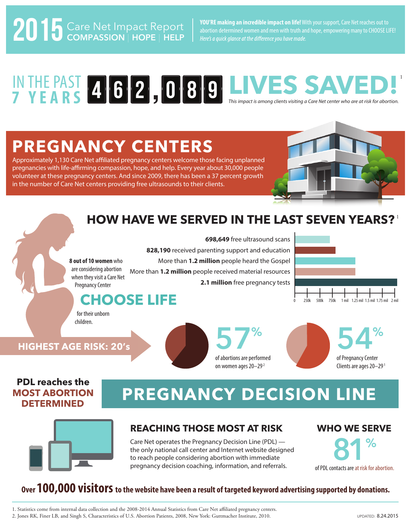**Care Net Impact Report** | You'RE making an incredible impact on life! With your support, Care Net reaches out to<br>abortion determined women and men with truth and hope, empowering many to CHOOSE LIFE! Here's a quick glance at the difference you have made.

#### *This impact is among clients visiting a Care Net center who are at risk for abortion.* IN THE PAST **4 6 2.080 LIVES SAVED! 7 Y EAR S** 1 4 6 2 1 0 8 9

## **PREGNANCY CENTERS**

Approximately 1,130 Care Net affiliated pregnancy centers welcome those facing unplanned pregnancies with life-affirming compassion, hope, and help. Every year about 30,000 people volunteer at these pregnancy centers. And since 2009, there has been a 37 percent growth in the number of Care Net centers providing free ultrasounds to their clients.



### **HOW HAVE WE SERVED IN THE LAST SEVEN YEARS?** 1



## **PDL reaches the MOST ABORTION**

## **OST ABORTION PREGNANCY DECISION LINE**

of abortions are performed on women ages 20-29<sup>2</sup>



### **REACHING THOSE MOST AT RISK**

Care Net operates the Pregnancy Decision Line (PDL) the only national call center and Internet website designed to reach people considering abortion with immediate pregnancy decision coaching, information, and referrals.

#### **WHO WE SERVE**

of Pregnancy Center Clients are ages 20-29<sup>1</sup>



### **Over 100,000 visitors to the website have been a result of targeted keyword advertising supported by donations.**

1. Statistics come from internal data collection and the 2008-2014 Annual Statistics from Care Net aliated pregnancy centers.

2. Jones RK, Finer LB, and Singh S, Characteristics of U.S. Abortion Patients, 2008, New York: Guttmacher Institute, 2010.